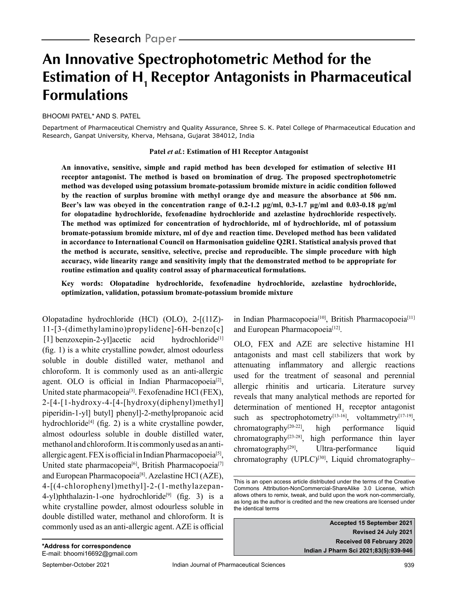# **An Innovative Spectrophotometric Method for the Estimation of H<sub>1</sub> Receptor Antagonists in Pharmaceutical Formulations**

BHOOMI PATEL\* AND S. PATEL

Department of Pharmaceutical Chemistry and Quality Assurance, Shree S. K. Patel College of Pharmaceutical Education and Research, Ganpat University, Kherva, Mehsana, Gujarat 384012, India

### **Patel** *et al.***: Estimation of H1 Receptor Antagonist**

**An innovative, sensitive, simple and rapid method has been developed for estimation of selective H1 receptor antagonist. The method is based on bromination of drug. The proposed spectrophotometric method was developed using potassium bromate-potassium bromide mixture in acidic condition followed by the reaction of surplus bromine with methyl orange dye and measure the absorbance at 506 nm. Beer's law was obeyed in the concentration range of 0.2-1.2 μg/ml, 0.3-1.7 μg/ml and 0.03-0.18 μg/ml for olopatadine hydrochloride, fexofenadine hydrochloride and azelastine hydrochloride respectively. The method was optimized for concentration of hydrochloride, ml of hydrochloride, ml of potassium bromate-potassium bromide mixture, ml of dye and reaction time. Developed method has been validated in accordance to International Council on Harmonisation guideline Q2R1. Statistical analysis proved that the method is accurate, sensitive, selective, precise and reproducible. The simple procedure with high accuracy, wide linearity range and sensitivity imply that the demonstrated method to be appropriate for routine estimation and quality control assay of pharmaceutical formulations.**

**Key words: Olopatadine hydrochloride, fexofenadine hydrochloride, azelastine hydrochloride, optimization, validation, potassium bromate-potassium bromide mixture**

Olopatadine hydrochloride (HCl) (OLO), 2-[(11Z)- 11-[3-(dimethylamino)propylidene]-6H-benzo[c] [1] benzoxepin-2-yl]acetic acid hydrochloride<sup>[1]</sup> (fig. 1) is a white crystalline powder, almost odourless soluble in double distilled water, methanol and chloroform. It is commonly used as an anti-allergic agent. OLO is official in Indian Pharmacopoeia<sup>[2]</sup>, United state pharmacopeia[3]. Fexofenadine HCl (FEX), 2-[4-[1-hydroxy-4-[4-[hydroxy(diphenyl)methyl] piperidin-1-yl] butyl] phenyl]-2-methylpropanoic acid hydrochloride<sup>[4]</sup> (fig. 2) is a white crystalline powder, almost odourless soluble in double distilled water, methanol and chloroform. It is commonly used as an antiallergic agent. FEX is official in Indian Pharmacopoeia[5], United state pharmacopeia<sup>[6]</sup>, British Pharmacopoeia<sup>[7]</sup> and European Pharmacopoeia[8]. Azelastine HCl (AZE), 4-[(4-chlorophenyl)methyl]-2-(1-methylazepan-4-yl)phthalazin-1-one hydrochloride<sup>[9]</sup> (fig. 3) is a white crystalline powder, almost odourless soluble in double distilled water, methanol and chloroform. It is commonly used as an anti-allergic agent. AZE is official in Indian Pharmacopoeia<sup>[10]</sup>, British Pharmacopoeia<sup>[11]</sup> and European Pharmacopoeia<sup>[12]</sup>.

OLO, FEX and AZE are selective histamine H1 antagonists and mast cell stabilizers that work by attenuating inflammatory and allergic reactions used for the treatment of seasonal and perennial allergic rhinitis and urticaria. Literature survey reveals that many analytical methods are reported for determination of mentioned  $H<sub>1</sub>$  receptor antagonist such as spectrophotometry<sup>[13-16]</sup>, voltammetry<sup>[17-19]</sup>, chromatography[20-22], high performance liquid chromatography $[23-28]$ , high performance thin layer  $chromatography<sup>[29]</sup>$ , Ultra-performance liquid chromatography (UPLC)<sup>[30]</sup>, Liquid chromatography-

**Accepted 15 September 2021 Revised 24 July 2021 Received 08 February 2020 Indian J Pharm Sci 2021;83(5):939-946**

This is an open access article distributed under the terms of the Creative Commons Attribution-NonCommercial-ShareAlike 3.0 License, which allows others to remix, tweak, and build upon the work non-commercially, as long as the author is credited and the new creations are licensed under the identical terms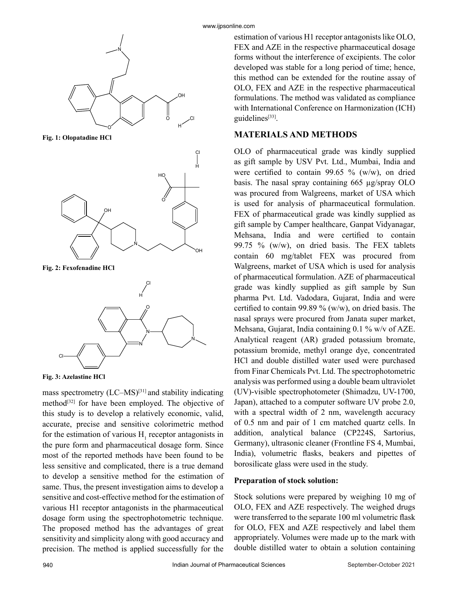

**Fig. 1: Olopatadine HCl**



**Fig. 2: Fexofenadine HCl**



**Fig. 3: Azelastine HCl**

mass spectrometry  $(LC-MS)^{[31]}$  and stability indicating method<sup>[32]</sup> for have been employed. The objective of this study is to develop a relatively economic, valid, accurate, precise and sensitive colorimetric method for the estimation of various  $H_1$  receptor antagonists in the pure form and pharmaceutical dosage form. Since most of the reported methods have been found to be less sensitive and complicated, there is a true demand to develop a sensitive method for the estimation of same. Thus, the present investigation aims to develop a sensitive and cost-effective method for the estimation of various H1 receptor antagonists in the pharmaceutical dosage form using the spectrophotometric technique. The proposed method has the advantages of great sensitivity and simplicity along with good accuracy and precision. The method is applied successfully for the

estimation of various H1 receptor antagonists like OLO, FEX and AZE in the respective pharmaceutical dosage forms without the interference of excipients. The color developed was stable for a long period of time; hence, this method can be extended for the routine assay of OLO, FEX and AZE in the respective pharmaceutical formulations. The method was validated as compliance with International Conference on Harmonization (ICH) guidelines[33].

# **MATERIALS AND METHODS**

OLO of pharmaceutical grade was kindly supplied as gift sample by USV Pvt. Ltd., Mumbai, India and were certified to contain 99.65 % (w/w), on dried basis. The nasal spray containing 665 µg/spray OLO was procured from Walgreens, market of USA which is used for analysis of pharmaceutical formulation. FEX of pharmaceutical grade was kindly supplied as gift sample by Camper healthcare, Ganpat Vidyanagar, Mehsana, India and were certified to contain 99.75 % (w/w), on dried basis. The FEX tablets contain 60 mg/tablet FEX was procured from Walgreens, market of USA which is used for analysis of pharmaceutical formulation. AZE of pharmaceutical grade was kindly supplied as gift sample by Sun pharma Pvt. Ltd. Vadodara, Gujarat, India and were certified to contain 99.89 % (w/w), on dried basis. The nasal sprays were procured from Janata super market, Mehsana, Gujarat, India containing 0.1 % w/v of AZE. Analytical reagent (AR) graded potassium bromate, potassium bromide, methyl orange dye, concentrated HCl and double distilled water used were purchased from Finar Chemicals Pvt. Ltd. The spectrophotometric analysis was performed using a double beam ultraviolet (UV)-visible spectrophotometer (Shimadzu, UV-1700, Japan), attached to a computer software UV probe 2.0, with a spectral width of 2 nm, wavelength accuracy of 0.5 nm and pair of 1 cm matched quartz cells. In addition, analytical balance (CP224S, Sartorius, Germany), ultrasonic cleaner (Frontline FS 4, Mumbai, India), volumetric flasks, beakers and pipettes of borosilicate glass were used in the study.

## **Preparation of stock solution:**

Stock solutions were prepared by weighing 10 mg of OLO, FEX and AZE respectively. The weighed drugs were transferred to the separate 100 ml volumetric flask for OLO, FEX and AZE respectively and label them appropriately. Volumes were made up to the mark with double distilled water to obtain a solution containing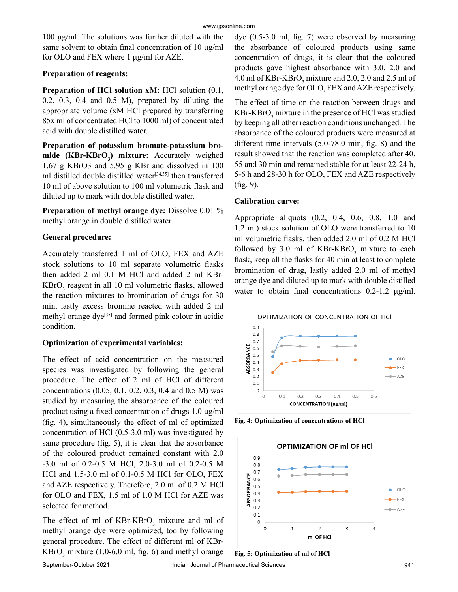100 μg/ml. The solutions was further diluted with the same solvent to obtain final concentration of 10 μg/ml for OLO and FEX where 1 μg/ml for AZE.

# **Preparation of reagents:**

**Preparation of HCl solution xM:** HCl solution  $(0.1, 0.1)$ 0.2, 0.3, 0.4 and 0.5 M), prepared by diluting the appropriate volume (xM HCl prepared by transferring 85x ml of concentrated HCl to 1000 ml) of concentrated acid with double distilled water.

**Preparation of potassium bromate-potassium bromide (KBr-KBrO<sup>3</sup> ) mixture:** Accurately weighed 1.67 g KBrO3 and 5.95 g KBr and dissolved in 100 ml distilled double distilled water $[34,35]$  then transferred 10 ml of above solution to 100 ml volumetric flask and diluted up to mark with double distilled water.

**Preparation of methyl orange dye:** Dissolve 0.01 % methyl orange in double distilled water.

# **General procedure:**

Accurately transferred 1 ml of OLO, FEX and AZE stock solutions to 10 ml separate volumetric flasks then added 2 ml 0.1 M HCl and added 2 ml KBr- $KBrO<sub>3</sub>$  reagent in all 10 ml volumetric flasks, allowed the reaction mixtures to bromination of drugs for 30 min, lastly excess bromine reacted with added 2 ml methyl orange dye<sup>[35]</sup> and formed pink colour in acidic condition.

# **Optimization of experimental variables:**

The effect of acid concentration on the measured species was investigated by following the general procedure. The effect of 2 ml of HCl of different concentrations (0.05, 0.1, 0.2, 0.3, 0.4 and 0.5 M) was studied by measuring the absorbance of the coloured product using a fixed concentration of drugs 1.0 μg/ml (fig. 4), simultaneously the effect of ml of optimized concentration of HCl (0.5-3.0 ml) was investigated by same procedure (fig. 5), it is clear that the absorbance of the coloured product remained constant with 2.0 -3.0 ml of 0.2-0.5 M HCl, 2.0-3.0 ml of 0.2-0.5 M HCl and 1.5-3.0 ml of 0.1-0.5 M HCl for OLO, FEX and AZE respectively. Therefore, 2.0 ml of 0.2 M HCl for OLO and FEX, 1.5 ml of 1.0 M HCl for AZE was selected for method.

The effect of ml of  $KBr-KBrO<sub>3</sub>$  mixture and ml of methyl orange dye were optimized, too by following general procedure. The effect of different ml of KBr- $KBrO<sub>3</sub>$  mixture (1.0-6.0 ml, fig. 6) and methyl orange

dye (0.5-3.0 ml, fig. 7) were observed by measuring the absorbance of coloured products using same concentration of drugs, it is clear that the coloured products gave highest absorbance with 3.0, 2.0 and 4.0 ml of  $KBr-KBrO_3$  mixture and 2.0, 2.0 and 2.5 ml of methyl orange dye for OLO, FEX and AZE respectively.

The effect of time on the reaction between drugs and  $KBr-KBrO<sub>3</sub>$  mixture in the presence of HCl was studied by keeping all other reaction conditions unchanged. The absorbance of the coloured products were measured at different time intervals (5.0-78.0 min, fig. 8) and the result showed that the reaction was completed after 40, 55 and 30 min and remained stable for at least 22-24 h, 5-6 h and 28-30 h for OLO, FEX and AZE respectively (fig. 9).

# **Calibration curve:**

Appropriate aliquots (0.2, 0.4, 0.6, 0.8, 1.0 and 1.2 ml) stock solution of OLO were transferred to 10 ml volumetric flasks, then added 2.0 ml of 0.2 M HCl followed by 3.0 ml of  $KBr-KBrO<sub>3</sub>$  mixture to each flask, keep all the flasks for 40 min at least to complete bromination of drug, lastly added 2.0 ml of methyl orange dye and diluted up to mark with double distilled water to obtain final concentrations 0.2-1.2 μg/ml.



**Fig. 4: Optimization of concentrations of HCl**

**Fig. 5: Optimization of ml of HCl**

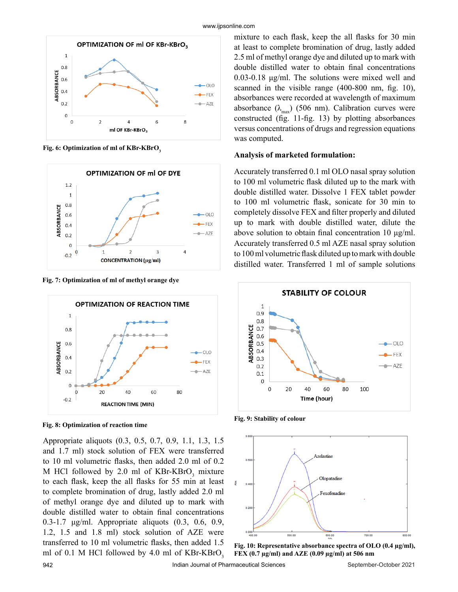

**Fig. 6: Optimization of ml of KBr-KBrO<sup>3</sup>**



**Fig. 7: Optimization of ml of methyl orange dye**



**Fig. 8: Optimization of reaction time**

Appropriate aliquots (0.3, 0.5, 0.7, 0.9, 1.1, 1.3, 1.5 and 1.7 ml) stock solution of FEX were transferred to 10 ml volumetric flasks, then added 2.0 ml of 0.2 M HCl followed by 2.0 ml of  $KBr-KBrO<sub>3</sub>$  mixture to each flask, keep the all flasks for 55 min at least to complete bromination of drug, lastly added 2.0 ml of methyl orange dye and diluted up to mark with double distilled water to obtain final concentrations 0.3-1.7 μg/ml. Appropriate aliquots (0.3, 0.6, 0.9, 1.2, 1.5 and 1.8 ml) stock solution of AZE were transferred to 10 ml volumetric flasks, then added 1.5 ml of 0.1 M HCl followed by 4.0 ml of  $KBr-KBrO<sub>3</sub>$ 

mixture to each flask, keep the all flasks for 30 min at least to complete bromination of drug, lastly added 2.5 ml of methyl orange dye and diluted up to mark with double distilled water to obtain final concentrations 0.03-0.18 μg/ml. The solutions were mixed well and scanned in the visible range (400-800 nm, fig. 10), absorbances were recorded at wavelength of maximum absorbance  $(\lambda_{\text{max}})$  (506 nm). Calibration curves were constructed (fig. 11-fig. 13) by plotting absorbances versus concentrations of drugs and regression equations was computed.

#### **Analysis of marketed formulation:**

Accurately transferred 0.1 ml OLO nasal spray solution to 100 ml volumetric flask diluted up to the mark with double distilled water. Dissolve 1 FEX tablet powder to 100 ml volumetric flask, sonicate for 30 min to completely dissolve FEX and filter properly and diluted up to mark with double distilled water, dilute the above solution to obtain final concentration 10 μg/ml. Accurately transferred 0.5 ml AZE nasal spray solution to 100 ml volumetric flask diluted up to mark with double distilled water. Transferred 1 ml of sample solutions



**Fig. 9: Stability of colour**



**Fig. 10: Representative absorbance spectra of OLO (0.4 µg/ml), FEX (0.7 µg/ml) and AZE (0.09 µg/ml) at 506 nm**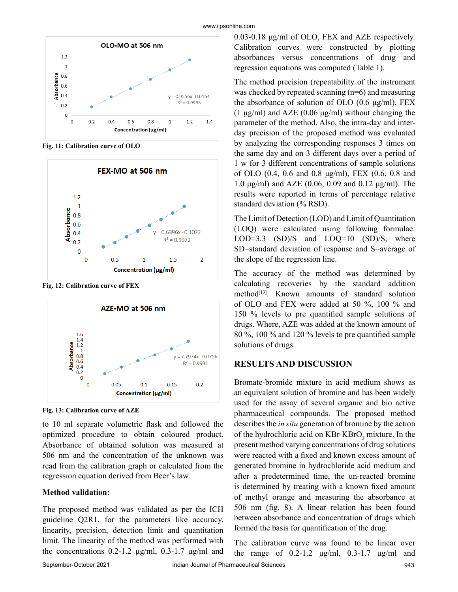

**Fig. 11: Calibration curve of OLO**



**Fig. 12: Calibration curve of FEX**



**Fig. 13: Calibration curve of AZE**

to 10 ml separate volumetric flask and followed the optimized procedure to obtain coloured product. Absorbance of obtained solution was measured at 506 nm and the concentration of the unknown was read from the calibration graph or calculated from the regression equation derived from Beer's law.

## **Method validation:**

The proposed method was validated as per the ICH guideline Q2R1, for the parameters like accuracy, linearity, precision, detection limit and quantitation limit. The linearity of the method was performed with the concentrations  $0.2$ -1.2 μg/ml,  $0.3$ -1.7 μg/ml and 0.03-0.18 μg/ml of OLO, FEX and AZE respectively. Calibration curves were constructed by plotting absorbances versus concentrations of drug and regression equations was computed (Table 1).

The method precision (repeatability of the instrument was checked by repeated scanning (n=6) and measuring the absorbance of solution of OLO  $(0.6 \mu g/ml)$ , FEX (1 μg/ml) and AZE (0.06 μg/ml) without changing the parameter of the method. Also, the intra-day and interday precision of the proposed method was evaluated by analyzing the corresponding responses 3 times on the same day and on 3 different days over a period of 1 w for 3 different concentrations of sample solutions of OLO (0.4, 0.6 and 0.8 μg/ml), FEX (0.6, 0.8 and 1.0 μg/ml) and AZE (0.06, 0.09 and 0.12 μg/ml). The results were reported in terms of percentage relative standard deviation (% RSD).

The Limit of Detection (LOD) and Limit of Quantitation (LOQ) were calculated using following formulae: LOD=3.3 (SD)/S and LOQ=10 (SD)/S, where SD=standard deviation of response and S=average of the slope of the regression line.

The accuracy of the method was determined by calculating recoveries by the standard addition method<sup>[13]</sup>. Known amounts of standard solution of OLO and FEX were added at 50 %, 100 % and 150 % levels to pre quantified sample solutions of drugs. Where, AZE was added at the known amount of 80 %, 100 % and 120 % levels to pre quantified sample solutions of drugs.

# **RESULTS AND DISCUSSION**

Bromate-bromide mixture in acid medium shows as an equivalent solution of bromine and has been widely used for the assay of several organic and bio active pharmaceutical compounds. The proposed method describes the *in situ* generation of bromine by the action of the hydrochloric acid on  $KBr-KBrO<sub>3</sub>$  mixture. In the present method varying concentrations of drug solutions were reacted with a fixed and known excess amount of generated bromine in hydrochloride acid medium and after a predetermined time, the un-reacted bromine is determined by treating with a known fixed amount of methyl orange and measuring the absorbance at 506 nm (fig. 8). A linear relation has been found between absorbance and concentration of drugs which formed the basis for quantification of the drug.

The calibration curve was found to be linear over the range of  $0.2-1.2$   $\mu$ g/ml,  $0.3-1.7$   $\mu$ g/ml and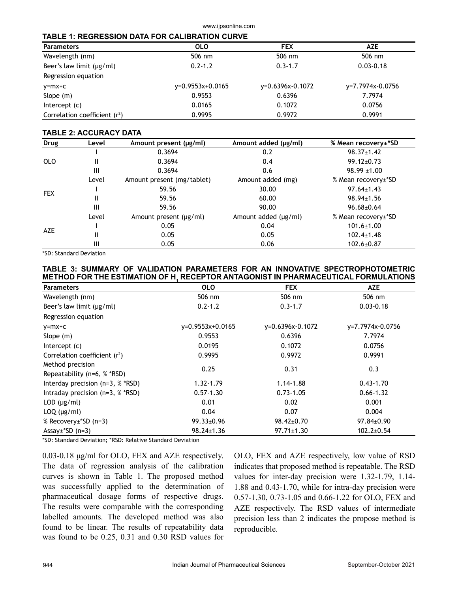#### www.ijpsonline.com

#### **TABLE 1: REGRESSION DATA FOR CALIBRATION CURVE**

| <b>Parameters</b>               | <b>OLO</b>         | <b>FEX</b>         | <b>AZE</b>       |  |
|---------------------------------|--------------------|--------------------|------------------|--|
| Wavelength (nm)                 | 506 nm             | 506 nm             | 506 nm           |  |
| Beer's law limit $(\mu g/ml)$   | $0.2 - 1.2$        | $0.3 - 1.7$        | $0.03 - 0.18$    |  |
| Regression equation             |                    |                    |                  |  |
| $y=mx+C$                        | $v=0.9553x+0.0165$ | $v=0.6396x-0.1072$ | y=7.7974x-0.0756 |  |
| Slope $(m)$                     | 0.9553             | 0.6396             | 7.7974           |  |
| Intercept $(c)$                 | 0.0165             | 0.1072             | 0.0756           |  |
| Correlation coefficient $(r^2)$ | 0.9995             | 0.9972             | 0.9991           |  |

#### **TABLE 2: ACCURACY DATA**

| Drug                                                                                     | Level            | Amount present (µg/ml)      | Amount added (µg/ml) | % Mean recovery±*SD |
|------------------------------------------------------------------------------------------|------------------|-----------------------------|----------------------|---------------------|
|                                                                                          |                  | 0.3694                      | 0.2                  | $98.37 \pm 1.42$    |
| <b>OLO</b>                                                                               | Ш                | 0.3694                      | 0.4                  | $99.12 \pm 0.73$    |
|                                                                                          | Ш                | 0.3694                      | 0.6                  | $98.99 \pm 1.00$    |
| Amount added (mg)<br>Level<br>Amount present (mg/tablet)<br>59.56<br>30.00<br><b>FEX</b> |                  |                             |                      | % Mean recovery±*SD |
|                                                                                          | $97.64 \pm 1.43$ |                             |                      |                     |
|                                                                                          | Ш                | 59.56                       | 60.00                | $98.94 \pm 1.56$    |
|                                                                                          | Ш                | 59.56                       | 90.00                | $96.68 \pm 0.64$    |
|                                                                                          | Level            | Amount present $(\mu g/ml)$ | Amount added (µg/ml) | % Mean recovery±*SD |
| AZE                                                                                      |                  | 0.05                        | 0.04                 | $101.6 \pm 1.00$    |
|                                                                                          | Ш                | 0.05                        | 0.05                 | $102.4 \pm 1.48$    |
|                                                                                          | Ш                | 0.05                        | 0.06                 | $102.6 \pm 0.87$    |

\*SD: Standard Deviation

## **TABLE 3: SUMMARY OF VALIDATION PARAMETERS FOR AN INNOVATIVE SPECTROPHOTOMETRIC METHOD FOR THE ESTIMATION OF H1 RECEPTOR ANTAGONIST IN PHARMACEUTICAL FORMULATIONS**

| <b>Parameters</b>                               | <b>OLO</b>         | <b>FEX</b>       | <b>AZE</b>       |
|-------------------------------------------------|--------------------|------------------|------------------|
| Wavelength (nm)                                 | 506 nm             | 506 nm           | 506 nm           |
| Beer's law limit $(\mu g/ml)$                   | $0.2 - 1.2$        | $0.3 - 1.7$      | $0.03 - 0.18$    |
| Regression equation                             |                    |                  |                  |
| $y=mx+c$                                        | $y=0.9553x+0.0165$ | y=0.6396x-0.1072 | y=7.7974x-0.0756 |
| Slope $(m)$                                     | 0.9553             | 0.6396           | 7.7974           |
| Intercept $(c)$                                 | 0.0195             | 0.1072           | 0.0756           |
| Correlation coefficient $(r^2)$                 | 0.9995             | 0.9972           | 0.9991           |
| Method precision<br>Repeatability (n=6, % *RSD) | 0.25               | 0.31             | 0.3              |
| Interday precision $(n=3, %$ *RSD)              | $1.32 - 1.79$      | 1.14-1.88        | $0.43 - 1.70$    |
| Intraday precision $(n=3, %$ *RSD)              | $0.57 - 1.30$      | $0.73 - 1.05$    | $0.66 - 1.32$    |
| $LOD$ ( $\mu$ g/ml)                             | 0.01               | 0.02             | 0.001            |
| $LOQ$ ( $\mu$ g/ml)                             | 0.04               | 0.07             | 0.004            |
| % Recovery±*SD (n=3)                            | $99.33 \pm 0.96$   | $98.42 \pm 0.70$ | 97.84±0.90       |
| Assay $\pm$ *SD (n=3)                           | $98.24 \pm 1.36$   | $97.71 \pm 1.30$ | $102.2 \pm 0.54$ |

\*SD: Standard Deviation; \*RSD: Relative Standard Deviation

0.03-0.18 μg/ml for OLO, FEX and AZE respectively. The data of regression analysis of the calibration curves is shown in Table 1. The proposed method was successfully applied to the determination of pharmaceutical dosage forms of respective drugs. The results were comparable with the corresponding labelled amounts. The developed method was also found to be linear. The results of repeatability data was found to be 0.25, 0.31 and 0.30 RSD values for

OLO, FEX and AZE respectively, low value of RSD indicates that proposed method is repeatable. The RSD values for inter-day precision were 1.32-1.79, 1.14- 1.88 and 0.43-1.70, while for intra-day precision were 0.57-1.30, 0.73-1.05 and 0.66-1.22 for OLO, FEX and AZE respectively. The RSD values of intermediate precision less than 2 indicates the propose method is reproducible.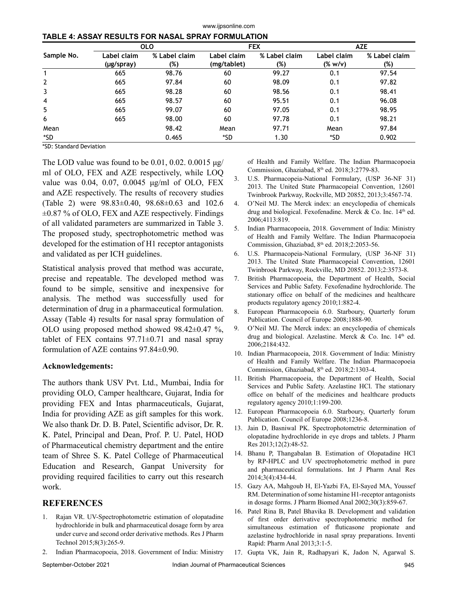| Sample No.     | <b>OLO</b>                |                      | <b>FEX</b>                 |                      | <b>AZE</b>                  |                      |
|----------------|---------------------------|----------------------|----------------------------|----------------------|-----------------------------|----------------------|
|                | Label claim<br>(µg/spray) | % Label claim<br>(%) | Label claim<br>(mg/tablet) | % Label claim<br>(%) | Label claim<br>$(%$ (% w/v) | % Label claim<br>(%) |
|                | 665                       | 98.76                | 60                         | 99.27                | 0.1                         | 97.54                |
| $\overline{2}$ | 665                       | 97.84                | 60                         | 98.09                | 0.1                         | 97.82                |
| 3              | 665                       | 98.28                | 60                         | 98.56                | 0.1                         | 98.41                |
| 4              | 665                       | 98.57                | 60                         | 95.51                | 0.1                         | 96.08                |
| 5              | 665                       | 99.07                | 60                         | 97.05                | 0.1                         | 98.95                |
| 6              | 665                       | 98.00                | 60                         | 97.78                | 0.1                         | 98.21                |
| Mean           |                           | 98.42                | Mean                       | 97.71                | Mean                        | 97.84                |
| *SD            |                           | 0.465                | *SD.                       | 1.30                 | *SD                         | 0.902                |

www.ijpsonline.com

| TABLE 4: ASSAY RESULTS FOR NASAL SPRAY FORMULATION |  |  |  |
|----------------------------------------------------|--|--|--|

\*SD: Standard Deviation

The LOD value was found to be 0.01, 0.02. 0.0015 μg/ ml of OLO, FEX and AZE respectively, while LOQ value was 0.04, 0.07, 0.0045 μg/ml of OLO, FEX and AZE respectively. The results of recovery studies (Table 2) were 98.83±0.40, 98.68±0.63 and 102.6  $\pm 0.87$  % of OLO, FEX and AZE respectively. Findings of all validated parameters are summarized in Table 3. The proposed study, spectrophotometric method was developed for the estimation of H1 receptor antagonists and validated as per ICH guidelines.

Statistical analysis proved that method was accurate, precise and repeatable. The developed method was found to be simple, sensitive and inexpensive for analysis. The method was successfully used for determination of drug in a pharmaceutical formulation. Assay (Table 4) results for nasal spray formulation of OLO using proposed method showed 98.42±0.47 %, tablet of FEX contains  $97.71 \pm 0.71$  and nasal spray formulation of AZE contains 97.84±0.90.

### **Acknowledgements:**

The authors thank USV Pvt. Ltd., Mumbai, India for providing OLO, Camper healthcare, Gujarat, India for providing FEX and Intas pharmaceuticals, Gujarat, India for providing AZE as gift samples for this work. We also thank Dr. D. B. Patel, Scientific advisor, Dr. R. K. Patel, Principal and Dean, Prof. P. U. Patel, HOD of Pharmaceutical chemistry department and the entire team of Shree S. K. Patel College of Pharmaceutical Education and Research, Ganpat University for providing required facilities to carry out this research work.

# **REFERENCES**

- 1. Rajan VR. UV-Spectrophotometric estimation of olopatadine hydrochloride in bulk and pharmaceutical dosage form by area under curve and second order derivative methods. Res J Pharm Technol 2015;8(3):265-9.
- 2. Indian Pharmacopoeia, 2018. Government of India: Ministry

of Health and Family Welfare. The Indian Pharmacopoeia Commission, Ghaziabad, 8th ed. 2018;3:2779-83.

- 3. U.S. Pharmacopeia-National Formulary, (USP 36-NF 31) 2013. The United State Pharmacopeial Convention, 12601 Twinbrook Parkway, Rockville, MD 20852, 2013;3:4567-74.
- 4. O'Neil MJ. The Merck index: an encyclopedia of chemicals drug and biological. Fexofenadine. Merck & Co. Inc.  $14<sup>th</sup>$  ed. 2006;4113:819.
- 5. Indian Pharmacopoeia, 2018. Government of India: Ministry of Health and Family Welfare. The Indian Pharmacopoeia Commission, Ghaziabad, 8th ed. 2018;2:2053-56.
- 6. U.S. Pharmacopeia-National Formulary, (USP 36-NF 31) 2013. The United State Pharmacopeial Convention, 12601 Twinbrook Parkway, Rockville, MD 20852. 2013;2:3573-8.
- 7. British Pharmacopoeia, the Department of Health, Social Services and Public Safety. Fexofenadine hydrochloride. The stationary office on behalf of the medicines and healthcare products regulatory agency 2010;1:882-4.
- 8. European Pharmacopoeia 6.0. Starboury, Quarterly forum Publication. Council of Europe 2008;1888-90.
- 9. O'Neil MJ. The Merck index: an encyclopedia of chemicals drug and biological. Azelastine. Merck & Co. Inc. 14<sup>th</sup> ed. 2006;2184:432.
- 10. Indian Pharmacopoeia, 2018. Government of India: Ministry of Health and Family Welfare. The Indian Pharmacopoeia Commission, Ghaziabad, 8<sup>th</sup> ed. 2018;2:1303-4.
- 11. British Pharmacopoeia, the Department of Health, Social Services and Public Safety. Azelastine HCl. The stationary office on behalf of the medicines and healthcare products regulatory agency 2010;1:199-200.
- 12. European Pharmacopoeia 6.0. Starboury, Quarterly forum Publication. Council of Europe 2008;1236-8.
- 13. Jain D, Basniwal PK. Spectrophotometric determination of olopatadine hydrochloride in eye drops and tablets. J Pharm Res 2013;12(2):48-52.
- 14. Bhanu P, Thangabalan B. Estimation of Olopatadine HCl by RP-HPLC and UV spectrophotometric method in pure and pharmaceutical formulations. Int J Pharm Anal Res 2014;3(4):434-44.
- 15. Gazy AA, Mahgoub H, El-Yazbi FA, El-Sayed MA, Youssef RM. Determination of some histamine H1-receptor antagonists in dosage forms. J Pharm Biomed Anal 2002;30(3):859-67.
- 16. Patel Rina B, Patel Bhavika B. Development and validation of first order derivative spectrophotometric method for simultaneous estimation of fluticasone propionate and azelastine hydrochloride in nasal spray preparations. Inventi Rapid: Pharm Anal 2013;3:1-5.
- 17. Gupta VK, Jain R, Radhapyari K, Jadon N, Agarwal S.